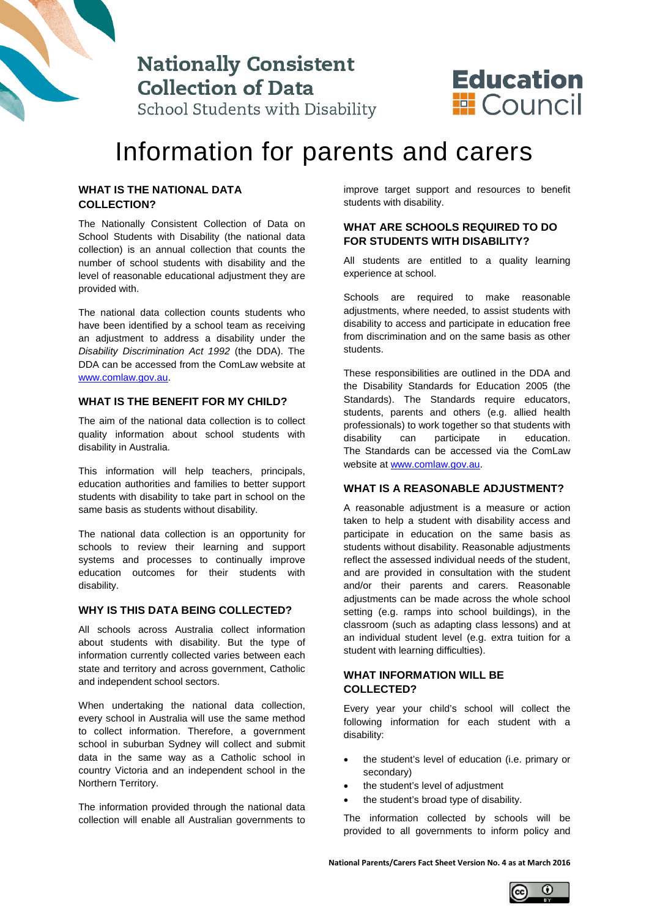

# **Nationally Consistent Collection of Data** School Students with Disability



# Information for parents and carers

## **WHAT IS THE NATIONAL DATA COLLECTION?**

The Nationally Consistent Collection of Data on School Students with Disability (the national data collection) is an annual collection that counts the number of school students with disability and the level of reasonable educational adjustment they are provided with.

The national data collection counts students who have been identified by a school team as receiving an adjustment to address a disability under the *Disability Discrimination Act 1992* (the DDA). The DDA can be accessed from the ComLaw website at [www.comlaw.gov.au.](http://www.comlaw.gov.au/)

#### **WHAT IS THE BENEFIT FOR MY CHILD?**

The aim of the national data collection is to collect quality information about school students with disability in Australia.

This information will help teachers, principals, education authorities and families to better support students with disability to take part in school on the same basis as students without disability.

The national data collection is an opportunity for schools to review their learning and support systems and processes to continually improve education outcomes for their students with disability.

#### **WHY IS THIS DATA BEING COLLECTED?**

All schools across Australia collect information about students with disability. But the type of information currently collected varies between each state and territory and across government, Catholic and independent school sectors.

When undertaking the national data collection, every school in Australia will use the same method to collect information. Therefore, a government school in suburban Sydney will collect and submit data in the same way as a Catholic school in country Victoria and an independent school in the Northern Territory.

The information provided through the national data collection will enable all Australian governments to

improve target support and resources to benefit students with disability.

# **WHAT ARE SCHOOLS REQUIRED TO DO FOR STUDENTS WITH DISABILITY?**

All students are entitled to a quality learning experience at school.

Schools are required to make reasonable adjustments, where needed, to assist students with disability to access and participate in education free from discrimination and on the same basis as other students.

These responsibilities are outlined in the DDA and the Disability Standards for Education 2005 (the Standards). The Standards require educators, students, parents and others (e.g. allied health professionals) to work together so that students with disability can participate in education. The Standards can be accessed via the ComLaw website a[t www.comlaw.gov.au.](http://www.comlaw.gov.au/)

#### **WHAT IS A REASONABLE ADJUSTMENT?**

A reasonable adjustment is a measure or action taken to help a student with disability access and participate in education on the same basis as students without disability. Reasonable adjustments reflect the assessed individual needs of the student, and are provided in consultation with the student and/or their parents and carers. Reasonable adjustments can be made across the whole school setting (e.g. ramps into school buildings), in the classroom (such as adapting class lessons) and at an individual student level (e.g. extra tuition for a student with learning difficulties).

#### **WHAT INFORMATION WILL BE COLLECTED?**

Every year your child's school will collect the following information for each student with a disability:

- the student's level of education (i.e. primary or secondary)
- the student's level of adjustment
- the student's broad type of disability.

The information collected by schools will be provided to all governments to inform policy and